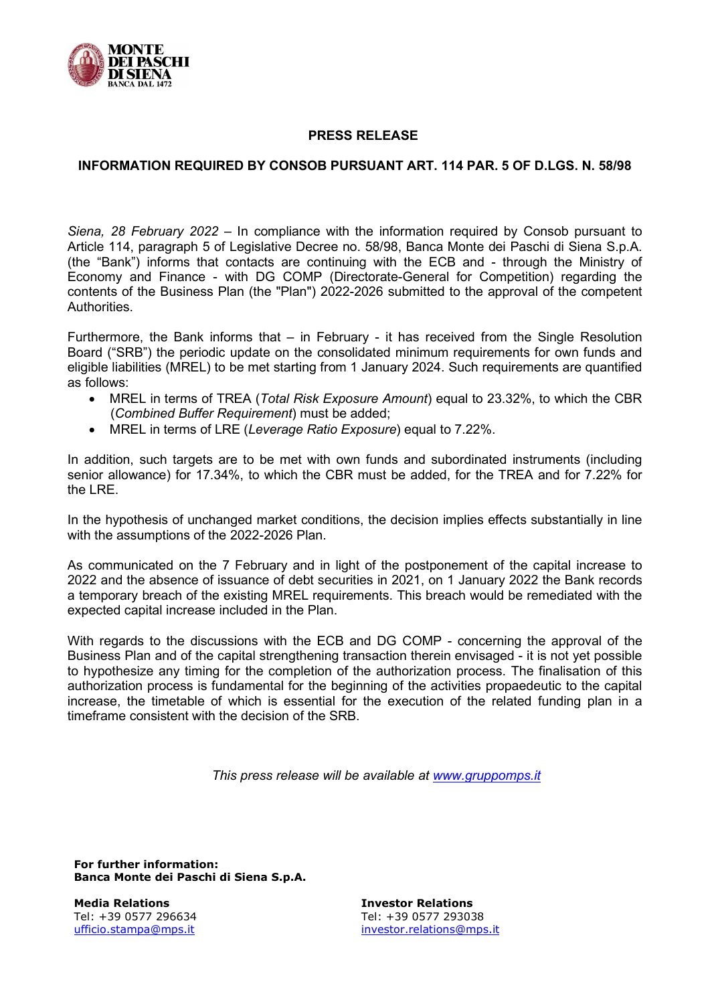

## PRESS RELEASE

## INFORMATION REQUIRED BY CONSOB PURSUANT ART. 114 PAR. 5 OF D.LGS. N. 58/98

Siena, 28 February 2022 – In compliance with the information required by Consob pursuant to Article 114, paragraph 5 of Legislative Decree no. 58/98, Banca Monte dei Paschi di Siena S.p.A. (the "Bank") informs that contacts are continuing with the ECB and - through the Ministry of Economy and Finance - with DG COMP (Directorate-General for Competition) regarding the contents of the Business Plan (the "Plan") 2022-2026 submitted to the approval of the competent Authorities.

Furthermore, the Bank informs that – in February - it has received from the Single Resolution Board ("SRB") the periodic update on the consolidated minimum requirements for own funds and eligible liabilities (MREL) to be met starting from 1 January 2024. Such requirements are quantified as follows:

- MREL in terms of TREA (Total Risk Exposure Amount) equal to 23.32%, to which the CBR (Combined Buffer Requirement) must be added;
- MREL in terms of LRE (Leverage Ratio Exposure) equal to 7.22%.

In addition, such targets are to be met with own funds and subordinated instruments (including senior allowance) for 17.34%, to which the CBR must be added, for the TREA and for 7.22% for the LRF

In the hypothesis of unchanged market conditions, the decision implies effects substantially in line with the assumptions of the 2022-2026 Plan.

As communicated on the 7 February and in light of the postponement of the capital increase to 2022 and the absence of issuance of debt securities in 2021, on 1 January 2022 the Bank records a temporary breach of the existing MREL requirements. This breach would be remediated with the expected capital increase included in the Plan.

With regards to the discussions with the ECB and DG COMP - concerning the approval of the Business Plan and of the capital strengthening transaction therein envisaged - it is not yet possible to hypothesize any timing for the completion of the authorization process. The finalisation of this authorization process is fundamental for the beginning of the activities propaedeutic to the capital increase, the timetable of which is essential for the execution of the related funding plan in a timeframe consistent with the decision of the SRB.

This press release will be available at www.gruppomps.it

For further information: Banca Monte dei Paschi di Siena S.p.A.

Media Relations Tel: +39 0577 296634 ufficio.stampa@mps.it

Investor Relations Tel: +39 0577 293038 investor.relations@mps.it